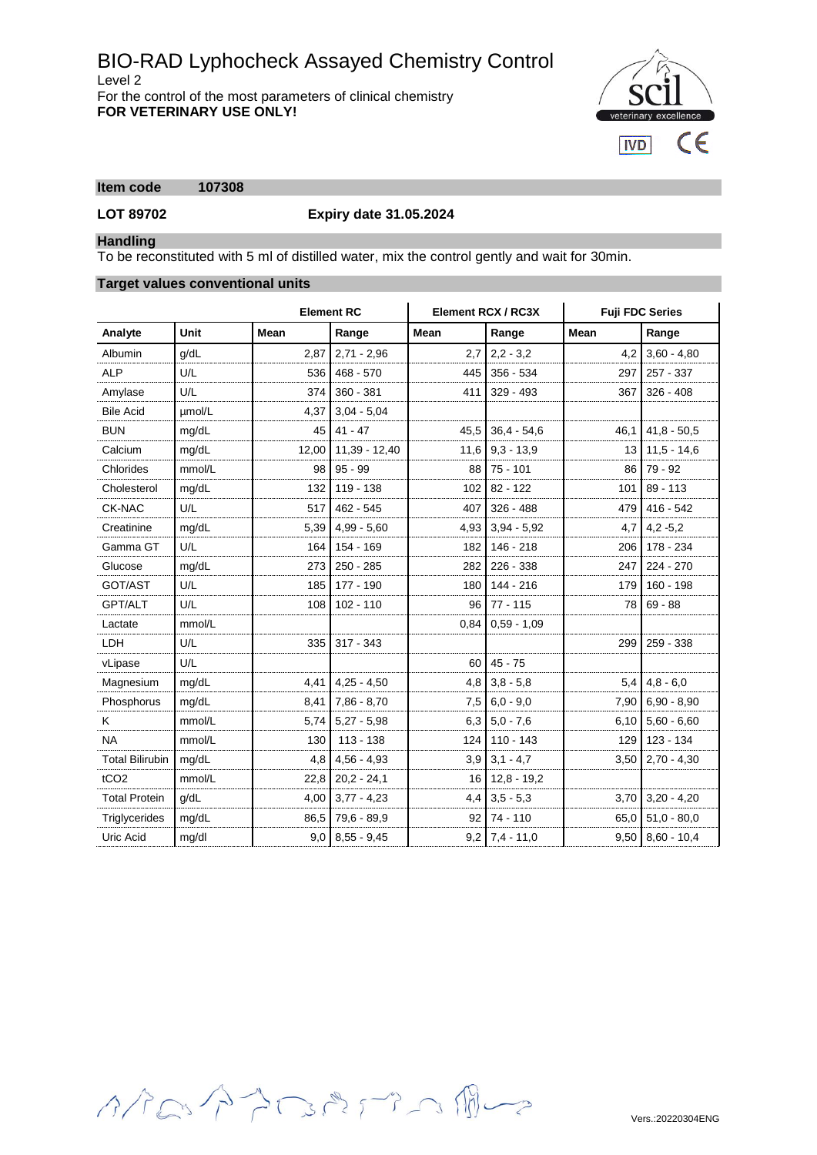# BIO-RAD Lyphocheck Assayed Chemistry Control Level 2 For the control of the most parameters of clinical chemistry **FOR VETERINARY USE ONLY!**

 $c\epsilon$ **IVD** 

# **Item code 107308**

**LOT 89702 Expiry date 31.05.2024**

# **Handling**

To be reconstituted with 5 ml of distilled water, mix the control gently and wait for 30min.

### **Target values conventional units**

|                        |        | <b>Element RC</b> |               | Element RCX / RC3X |               | <b>Fuji FDC Series</b> |                        |
|------------------------|--------|-------------------|---------------|--------------------|---------------|------------------------|------------------------|
| Analyte                | Unit   | Mean              | Range         | Mean               | Range         | <b>Mean</b>            | Range                  |
| Albumin                | q/dL   | 2,87              | $2,71 - 2,96$ | 2,7                | $2,2 - 3,2$   | 4,2                    | $3,60 - 4,80$          |
| <b>ALP</b>             | U/L    | 536               | $468 - 570$   | 445                | 356 - 534     | 297                    | 257 - 337              |
| Amylase                | U/L    | 374               | $360 - 381$   | 411                | $329 - 493$   | 367                    | $326 - 408$            |
| <b>Bile Acid</b>       | umol/L | 4,37              | $3,04 - 5,04$ |                    |               |                        |                        |
| <b>BUN</b>             | mg/dL  | 45                | $41 - 47$     | 45,5               | $36,4 - 54,6$ | 46,1                   | $41.8 - 50.5$          |
| Calcium                | mg/dL  | 12,00             | 11.39 - 12.40 | 11,6               | $9.3 - 13.9$  | 13                     | $11.5 - 14.6$          |
| Chlorides              | mmol/L | 98                | $95 - 99$     | 88                 | $75 - 101$    | 86                     | $79 - 92$              |
| Cholesterol            | mg/dL  | 132               | 119 - 138     | 102                | $82 - 122$    | 101                    | $89 - 113$             |
| CK-NAC                 | U/L    | 517               | $462 - 545$   | 407                | $326 - 488$   | 479                    | $416 - 542$            |
| Creatinine             | mg/dL  | 5,39              | $4,99 - 5,60$ | 4,93               | $3,94 - 5,92$ | 4,7                    | $4,2 -5,2$             |
| Gamma GT               | U/L    | 164               | 154 - 169     | 182                | 146 - 218     | 206                    | 178 - 234              |
| Glucose                | mg/dL  | 273               | $250 - 285$   | 282                | 226 - 338     | 247                    | $224 - 270$            |
| GOT/AST                | U/L    | 185               | 177 - 190     | 180                | $144 - 216$   | 179                    | $160 - 198$            |
| GPT/ALT                | U/L    | 108               | $102 - 110$   | 96                 | $77 - 115$    | 78                     | $69 - 88$              |
| Lactate                | mmol/L |                   |               | 0,84               | $0,59 - 1,09$ |                        |                        |
| LDH                    | U/L    | 335               | $317 - 343$   |                    |               | 299                    | 259 - 338              |
| vLipase                | U/L    |                   |               | 60                 | $45 - 75$     |                        |                        |
| Magnesium              | mg/dL  | 4,41              | $4,25 - 4,50$ | 4,8                | $3.8 - 5.8$   |                        | $5,4$ 4.8 - 6.0        |
| Phosphorus             | mg/dL  | 8,41              | $7,86 - 8,70$ | 7,5                | $6.0 - 9.0$   | 7,90                   | $6,90 - 8,90$          |
| Κ                      | mmol/L | 5,74              | $5,27 - 5,98$ | 6,3                | $5.0 - 7.6$   | 6,10                   | $5,60 - 6,60$          |
| <b>NA</b>              | mmol/L | 130               | $113 - 138$   | 124                | $110 - 143$   | 129                    | 123 - 134              |
| <b>Total Bilirubin</b> | mg/dL  | 4,8               | $4,56 - 4,93$ | 3,9                | $3,1 - 4,7$   | 3,50                   | $2,70 - 4,30$          |
| tCO <sub>2</sub>       | mmol/L | 22,8              | $20.2 - 24.1$ | 16                 | $12,8 - 19,2$ |                        |                        |
| <b>Total Protein</b>   | q/dL   | 4,00              | $3,77 - 4,23$ | 4,4                | $3.5 - 5.3$   |                        | $3,70$ $3,20$ $- 4,20$ |
| Triglycerides          | mg/dL  | 86,5              | 79,6 - 89,9   | 92                 | 74 - 110      | 65,0                   | $51,0 - 80,0$          |
| Uric Acid              | mg/dl  | 9,0               | $8,55 - 9,45$ | 9,2                | $7.4 - 11.0$  | 9,50                   | $8,60 - 10,4$          |

イクロイクロパアつ風ー